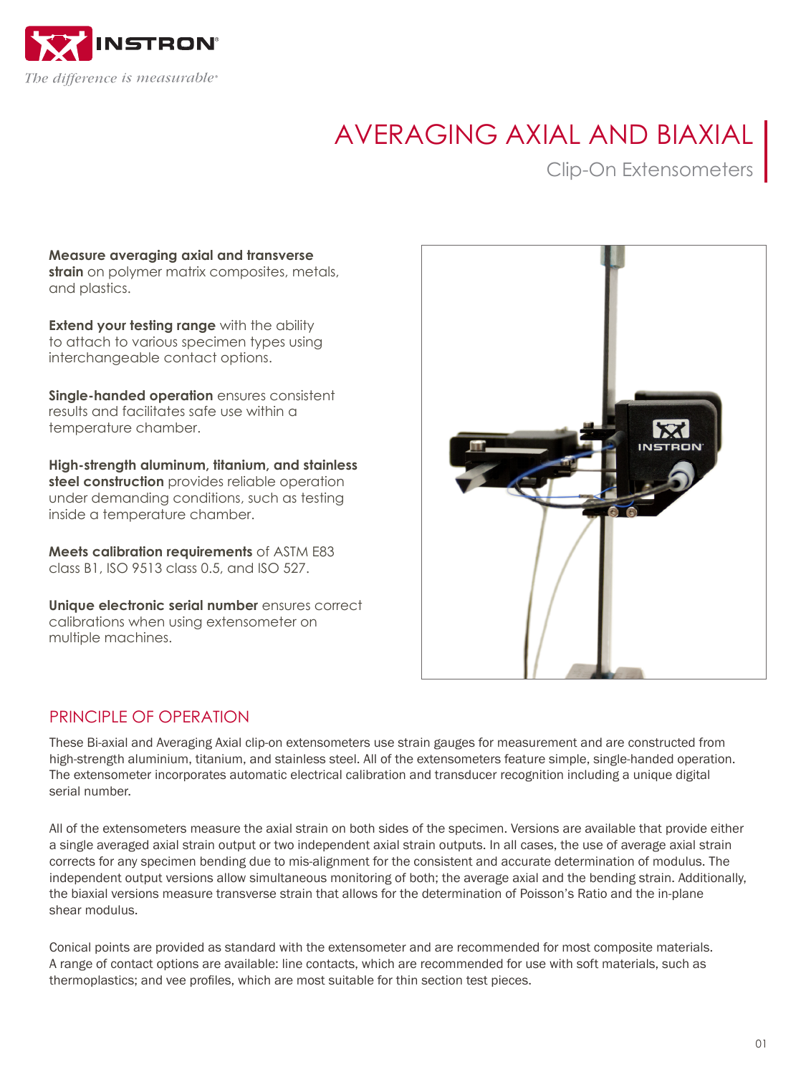

# AVERAGING AXIAL AND BIAXIAL

## Clip-On Extensometers

**Measure averaging axial and transverse strain** on polymer matrix composites, metals, and plastics.

**Extend your testing range** with the ability to attach to various specimen types using interchangeable contact options.

**Single-handed operation** ensures consistent results and facilitates safe use within a temperature chamber.

**High-strength aluminum, titanium, and stainless steel construction** provides reliable operation under demanding conditions, such as testing inside a temperature chamber.

**Meets calibration requirements** of ASTM E83 class B1, ISO 9513 class 0.5, and ISO 527.

**Unique electronic serial number** ensures correct calibrations when using extensometer on multiple machines.



#### PRINCIPI F OF OPERATION

These Bi-axial and Averaging Axial clip-on extensometers use strain gauges for measurement and are constructed from high-strength aluminium, titanium, and stainless steel. All of the extensometers feature simple, single-handed operation. The extensometer incorporates automatic electrical calibration and transducer recognition including a unique digital serial number.

All of the extensometers measure the axial strain on both sides of the specimen. Versions are available that provide either a single averaged axial strain output or two independent axial strain outputs. In all cases, the use of average axial strain corrects for any specimen bending due to mis-alignment for the consistent and accurate determination of modulus. The independent output versions allow simultaneous monitoring of both; the average axial and the bending strain. Additionally, the biaxial versions measure transverse strain that allows for the determination of Poisson's Ratio and the in-plane shear modulus.

Conical points are provided as standard with the extensometer and are recommended for most composite materials. A range of contact options are available: line contacts, which are recommended for use with soft materials, such as thermoplastics; and vee profiles, which are most suitable for thin section test pieces.